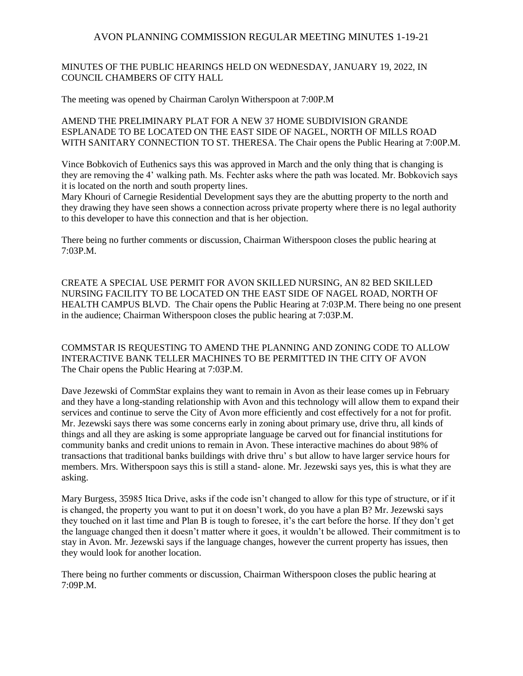### MINUTES OF THE PUBLIC HEARINGS HELD ON WEDNESDAY, JANUARY 19, 2022, IN COUNCIL CHAMBERS OF CITY HALL

The meeting was opened by Chairman Carolyn Witherspoon at 7:00P.M

AMEND THE PRELIMINARY PLAT FOR A NEW 37 HOME SUBDIVISION GRANDE ESPLANADE TO BE LOCATED ON THE EAST SIDE OF NAGEL, NORTH OF MILLS ROAD WITH SANITARY CONNECTION TO ST. THERESA. The Chair opens the Public Hearing at 7:00P.M.

Vince Bobkovich of Euthenics says this was approved in March and the only thing that is changing is they are removing the 4' walking path. Ms. Fechter asks where the path was located. Mr. Bobkovich says it is located on the north and south property lines.

Mary Khouri of Carnegie Residential Development says they are the abutting property to the north and they drawing they have seen shows a connection across private property where there is no legal authority to this developer to have this connection and that is her objection.

There being no further comments or discussion, Chairman Witherspoon closes the public hearing at 7:03P.M.

CREATE A SPECIAL USE PERMIT FOR AVON SKILLED NURSING, AN 82 BED SKILLED NURSING FACILITY TO BE LOCATED ON THE EAST SIDE OF NAGEL ROAD, NORTH OF HEALTH CAMPUS BLVD. The Chair opens the Public Hearing at 7:03P.M. There being no one present in the audience; Chairman Witherspoon closes the public hearing at 7:03P.M.

COMMSTAR IS REQUESTING TO AMEND THE PLANNING AND ZONING CODE TO ALLOW INTERACTIVE BANK TELLER MACHINES TO BE PERMITTED IN THE CITY OF AVON The Chair opens the Public Hearing at 7:03P.M.

Dave Jezewski of CommStar explains they want to remain in Avon as their lease comes up in February and they have a long-standing relationship with Avon and this technology will allow them to expand their services and continue to serve the City of Avon more efficiently and cost effectively for a not for profit. Mr. Jezewski says there was some concerns early in zoning about primary use, drive thru, all kinds of things and all they are asking is some appropriate language be carved out for financial institutions for community banks and credit unions to remain in Avon. These interactive machines do about 98% of transactions that traditional banks buildings with drive thru' s but allow to have larger service hours for members. Mrs. Witherspoon says this is still a stand- alone. Mr. Jezewski says yes, this is what they are asking.

Mary Burgess, 35985 Itica Drive, asks if the code isn't changed to allow for this type of structure, or if it is changed, the property you want to put it on doesn't work, do you have a plan B? Mr. Jezewski says they touched on it last time and Plan B is tough to foresee, it's the cart before the horse. If they don't get the language changed then it doesn't matter where it goes, it wouldn't be allowed. Their commitment is to stay in Avon. Mr. Jezewski says if the language changes, however the current property has issues, then they would look for another location.

There being no further comments or discussion, Chairman Witherspoon closes the public hearing at 7:09P.M.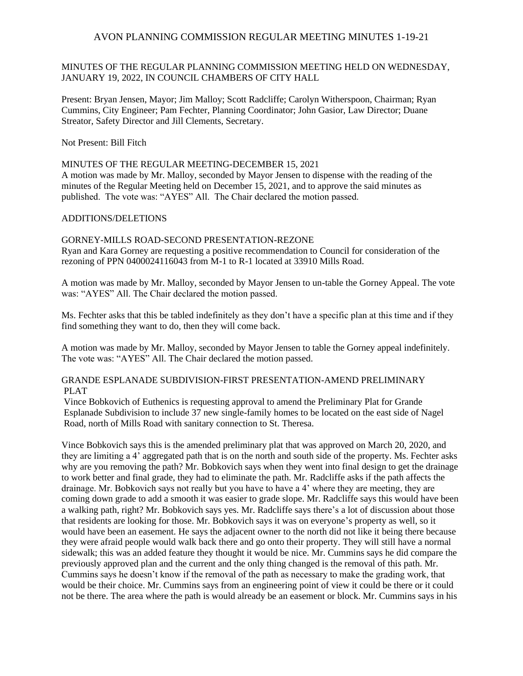### MINUTES OF THE REGULAR PLANNING COMMISSION MEETING HELD ON WEDNESDAY, JANUARY 19, 2022, IN COUNCIL CHAMBERS OF CITY HALL

Present: Bryan Jensen, Mayor; Jim Malloy; Scott Radcliffe; Carolyn Witherspoon, Chairman; Ryan Cummins, City Engineer; Pam Fechter, Planning Coordinator; John Gasior, Law Director; Duane Streator, Safety Director and Jill Clements, Secretary.

Not Present: Bill Fitch

#### MINUTES OF THE REGULAR MEETING-DECEMBER 15, 2021

A motion was made by Mr. Malloy, seconded by Mayor Jensen to dispense with the reading of the minutes of the Regular Meeting held on December 15, 2021, and to approve the said minutes as published. The vote was: "AYES" All. The Chair declared the motion passed.

#### ADDITIONS/DELETIONS

GORNEY-MILLS ROAD-SECOND PRESENTATION-REZONE Ryan and Kara Gorney are requesting a positive recommendation to Council for consideration of the rezoning of PPN 0400024116043 from M-1 to R-1 located at 33910 Mills Road.

A motion was made by Mr. Malloy, seconded by Mayor Jensen to un-table the Gorney Appeal. The vote was: "AYES" All. The Chair declared the motion passed.

Ms. Fechter asks that this be tabled indefinitely as they don't have a specific plan at this time and if they find something they want to do, then they will come back.

A motion was made by Mr. Malloy, seconded by Mayor Jensen to table the Gorney appeal indefinitely. The vote was: "AYES" All. The Chair declared the motion passed.

## GRANDE ESPLANADE SUBDIVISION-FIRST PRESENTATION-AMEND PRELIMINARY PLAT

Vince Bobkovich of Euthenics is requesting approval to amend the Preliminary Plat for Grande Esplanade Subdivision to include 37 new single-family homes to be located on the east side of Nagel Road, north of Mills Road with sanitary connection to St. Theresa.

Vince Bobkovich says this is the amended preliminary plat that was approved on March 20, 2020, and they are limiting a 4' aggregated path that is on the north and south side of the property. Ms. Fechter asks why are you removing the path? Mr. Bobkovich says when they went into final design to get the drainage to work better and final grade, they had to eliminate the path. Mr. Radcliffe asks if the path affects the drainage. Mr. Bobkovich says not really but you have to have a 4' where they are meeting, they are coming down grade to add a smooth it was easier to grade slope. Mr. Radcliffe says this would have been a walking path, right? Mr. Bobkovich says yes. Mr. Radcliffe says there's a lot of discussion about those that residents are looking for those. Mr. Bobkovich says it was on everyone's property as well, so it would have been an easement. He says the adjacent owner to the north did not like it being there because they were afraid people would walk back there and go onto their property. They will still have a normal sidewalk; this was an added feature they thought it would be nice. Mr. Cummins says he did compare the previously approved plan and the current and the only thing changed is the removal of this path. Mr. Cummins says he doesn't know if the removal of the path as necessary to make the grading work, that would be their choice. Mr. Cummins says from an engineering point of view it could be there or it could not be there. The area where the path is would already be an easement or block. Mr. Cummins says in his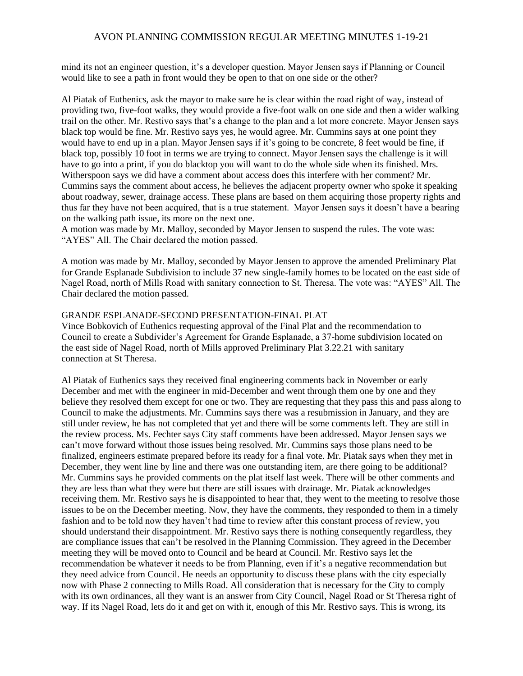mind its not an engineer question, it's a developer question. Mayor Jensen says if Planning or Council would like to see a path in front would they be open to that on one side or the other?

Al Piatak of Euthenics, ask the mayor to make sure he is clear within the road right of way, instead of providing two, five-foot walks, they would provide a five-foot walk on one side and then a wider walking trail on the other. Mr. Restivo says that's a change to the plan and a lot more concrete. Mayor Jensen says black top would be fine. Mr. Restivo says yes, he would agree. Mr. Cummins says at one point they would have to end up in a plan. Mayor Jensen says if it's going to be concrete, 8 feet would be fine, if black top, possibly 10 foot in terms we are trying to connect. Mayor Jensen says the challenge is it will have to go into a print, if you do blacktop you will want to do the whole side when its finished. Mrs. Witherspoon says we did have a comment about access does this interfere with her comment? Mr. Cummins says the comment about access, he believes the adjacent property owner who spoke it speaking about roadway, sewer, drainage access. These plans are based on them acquiring those property rights and thus far they have not been acquired, that is a true statement. Mayor Jensen says it doesn't have a bearing on the walking path issue, its more on the next one.

A motion was made by Mr. Malloy, seconded by Mayor Jensen to suspend the rules. The vote was: "AYES" All. The Chair declared the motion passed.

A motion was made by Mr. Malloy, seconded by Mayor Jensen to approve the amended Preliminary Plat for Grande Esplanade Subdivision to include 37 new single-family homes to be located on the east side of Nagel Road, north of Mills Road with sanitary connection to St. Theresa. The vote was: "AYES" All. The Chair declared the motion passed.

#### GRANDE ESPLANADE-SECOND PRESENTATION-FINAL PLAT

Vince Bobkovich of Euthenics requesting approval of the Final Plat and the recommendation to Council to create a Subdivider's Agreement for Grande Esplanade, a 37-home subdivision located on the east side of Nagel Road, north of Mills approved Preliminary Plat 3.22.21 with sanitary connection at St Theresa.

Al Piatak of Euthenics says they received final engineering comments back in November or early December and met with the engineer in mid-December and went through them one by one and they believe they resolved them except for one or two. They are requesting that they pass this and pass along to Council to make the adjustments. Mr. Cummins says there was a resubmission in January, and they are still under review, he has not completed that yet and there will be some comments left. They are still in the review process. Ms. Fechter says City staff comments have been addressed. Mayor Jensen says we can't move forward without those issues being resolved. Mr. Cummins says those plans need to be finalized, engineers estimate prepared before its ready for a final vote. Mr. Piatak says when they met in December, they went line by line and there was one outstanding item, are there going to be additional? Mr. Cummins says he provided comments on the plat itself last week. There will be other comments and they are less than what they were but there are still issues with drainage. Mr. Piatak acknowledges receiving them. Mr. Restivo says he is disappointed to hear that, they went to the meeting to resolve those issues to be on the December meeting. Now, they have the comments, they responded to them in a timely fashion and to be told now they haven't had time to review after this constant process of review, you should understand their disappointment. Mr. Restivo says there is nothing consequently regardless, they are compliance issues that can't be resolved in the Planning Commission. They agreed in the December meeting they will be moved onto to Council and be heard at Council. Mr. Restivo says let the recommendation be whatever it needs to be from Planning, even if it's a negative recommendation but they need advice from Council. He needs an opportunity to discuss these plans with the city especially now with Phase 2 connecting to Mills Road. All consideration that is necessary for the City to comply with its own ordinances, all they want is an answer from City Council, Nagel Road or St Theresa right of way. If its Nagel Road, lets do it and get on with it, enough of this Mr. Restivo says. This is wrong, its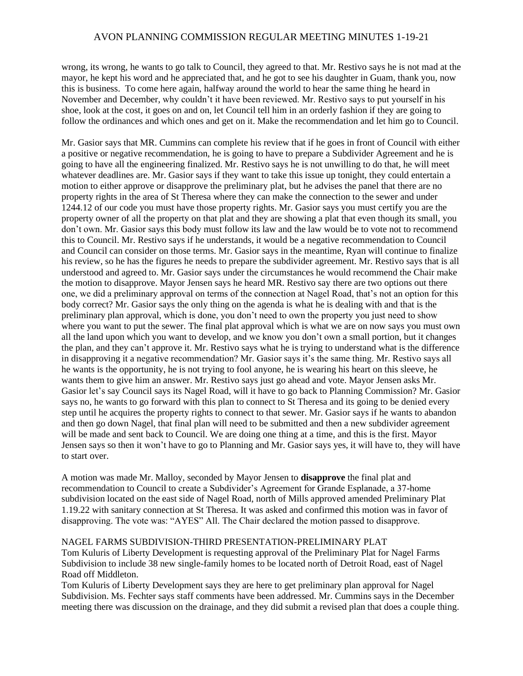wrong, its wrong, he wants to go talk to Council, they agreed to that. Mr. Restivo says he is not mad at the mayor, he kept his word and he appreciated that, and he got to see his daughter in Guam, thank you, now this is business. To come here again, halfway around the world to hear the same thing he heard in November and December, why couldn't it have been reviewed. Mr. Restivo says to put yourself in his shoe, look at the cost, it goes on and on, let Council tell him in an orderly fashion if they are going to follow the ordinances and which ones and get on it. Make the recommendation and let him go to Council.

Mr. Gasior says that MR. Cummins can complete his review that if he goes in front of Council with either a positive or negative recommendation, he is going to have to prepare a Subdivider Agreement and he is going to have all the engineering finalized. Mr. Restivo says he is not unwilling to do that, he will meet whatever deadlines are. Mr. Gasior says if they want to take this issue up tonight, they could entertain a motion to either approve or disapprove the preliminary plat, but he advises the panel that there are no property rights in the area of St Theresa where they can make the connection to the sewer and under 1244.12 of our code you must have those property rights. Mr. Gasior says you must certify you are the property owner of all the property on that plat and they are showing a plat that even though its small, you don't own. Mr. Gasior says this body must follow its law and the law would be to vote not to recommend this to Council. Mr. Restivo says if he understands, it would be a negative recommendation to Council and Council can consider on those terms. Mr. Gasior says in the meantime, Ryan will continue to finalize his review, so he has the figures he needs to prepare the subdivider agreement. Mr. Restivo says that is all understood and agreed to. Mr. Gasior says under the circumstances he would recommend the Chair make the motion to disapprove. Mayor Jensen says he heard MR. Restivo say there are two options out there one, we did a preliminary approval on terms of the connection at Nagel Road, that's not an option for this body correct? Mr. Gasior says the only thing on the agenda is what he is dealing with and that is the preliminary plan approval, which is done, you don't need to own the property you just need to show where you want to put the sewer. The final plat approval which is what we are on now says you must own all the land upon which you want to develop, and we know you don't own a small portion, but it changes the plan, and they can't approve it. Mr. Restivo says what he is trying to understand what is the difference in disapproving it a negative recommendation? Mr. Gasior says it's the same thing. Mr. Restivo says all he wants is the opportunity, he is not trying to fool anyone, he is wearing his heart on this sleeve, he wants them to give him an answer. Mr. Restivo says just go ahead and vote. Mayor Jensen asks Mr. Gasior let's say Council says its Nagel Road, will it have to go back to Planning Commission? Mr. Gasior says no, he wants to go forward with this plan to connect to St Theresa and its going to be denied every step until he acquires the property rights to connect to that sewer. Mr. Gasior says if he wants to abandon and then go down Nagel, that final plan will need to be submitted and then a new subdivider agreement will be made and sent back to Council. We are doing one thing at a time, and this is the first. Mayor Jensen says so then it won't have to go to Planning and Mr. Gasior says yes, it will have to, they will have to start over.

A motion was made Mr. Malloy, seconded by Mayor Jensen to **disapprove** the final plat and recommendation to Council to create a Subdivider's Agreement for Grande Esplanade, a 37-home subdivision located on the east side of Nagel Road, north of Mills approved amended Preliminary Plat 1.19.22 with sanitary connection at St Theresa. It was asked and confirmed this motion was in favor of disapproving. The vote was: "AYES" All. The Chair declared the motion passed to disapprove.

## NAGEL FARMS SUBDIVISION-THIRD PRESENTATION-PRELIMINARY PLAT

Tom Kuluris of Liberty Development is requesting approval of the Preliminary Plat for Nagel Farms Subdivision to include 38 new single-family homes to be located north of Detroit Road, east of Nagel Road off Middleton.

Tom Kuluris of Liberty Development says they are here to get preliminary plan approval for Nagel Subdivision. Ms. Fechter says staff comments have been addressed. Mr. Cummins says in the December meeting there was discussion on the drainage, and they did submit a revised plan that does a couple thing.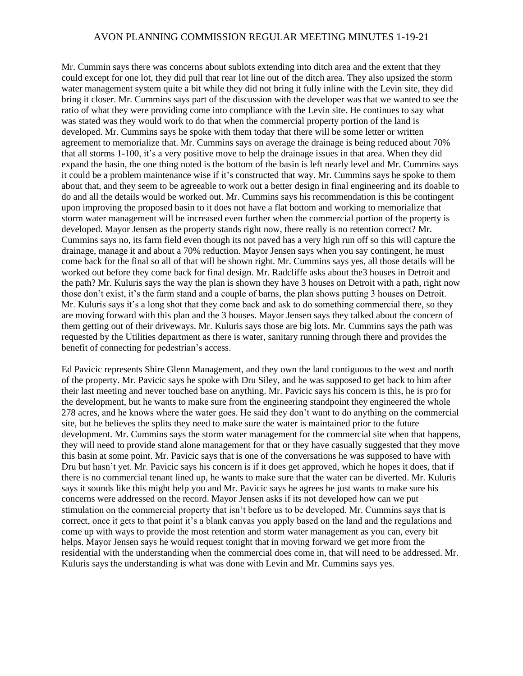Mr. Cummin says there was concerns about sublots extending into ditch area and the extent that they could except for one lot, they did pull that rear lot line out of the ditch area. They also upsized the storm water management system quite a bit while they did not bring it fully inline with the Levin site, they did bring it closer. Mr. Cummins says part of the discussion with the developer was that we wanted to see the ratio of what they were providing come into compliance with the Levin site. He continues to say what was stated was they would work to do that when the commercial property portion of the land is developed. Mr. Cummins says he spoke with them today that there will be some letter or written agreement to memorialize that. Mr. Cummins says on average the drainage is being reduced about 70% that all storms 1-100, it's a very positive move to help the drainage issues in that area. When they did expand the basin, the one thing noted is the bottom of the basin is left nearly level and Mr. Cummins says it could be a problem maintenance wise if it's constructed that way. Mr. Cummins says he spoke to them about that, and they seem to be agreeable to work out a better design in final engineering and its doable to do and all the details would be worked out. Mr. Cummins says his recommendation is this be contingent upon improving the proposed basin to it does not have a flat bottom and working to memorialize that storm water management will be increased even further when the commercial portion of the property is developed. Mayor Jensen as the property stands right now, there really is no retention correct? Mr. Cummins says no, its farm field even though its not paved has a very high run off so this will capture the drainage, manage it and about a 70% reduction. Mayor Jensen says when you say contingent, he must come back for the final so all of that will be shown right. Mr. Cummins says yes, all those details will be worked out before they come back for final design. Mr. Radcliffe asks about the3 houses in Detroit and the path? Mr. Kuluris says the way the plan is shown they have 3 houses on Detroit with a path, right now those don't exist, it's the farm stand and a couple of barns, the plan shows putting 3 houses on Detroit. Mr. Kuluris says it's a long shot that they come back and ask to do something commercial there, so they are moving forward with this plan and the 3 houses. Mayor Jensen says they talked about the concern of them getting out of their driveways. Mr. Kuluris says those are big lots. Mr. Cummins says the path was requested by the Utilities department as there is water, sanitary running through there and provides the benefit of connecting for pedestrian's access.

Ed Pavicic represents Shire Glenn Management, and they own the land contiguous to the west and north of the property. Mr. Pavicic says he spoke with Dru Siley, and he was supposed to get back to him after their last meeting and never touched base on anything. Mr. Pavicic says his concern is this, he is pro for the development, but he wants to make sure from the engineering standpoint they engineered the whole 278 acres, and he knows where the water goes. He said they don't want to do anything on the commercial site, but he believes the splits they need to make sure the water is maintained prior to the future development. Mr. Cummins says the storm water management for the commercial site when that happens, they will need to provide stand alone management for that or they have casually suggested that they move this basin at some point. Mr. Pavicic says that is one of the conversations he was supposed to have with Dru but hasn't yet. Mr. Pavicic says his concern is if it does get approved, which he hopes it does, that if there is no commercial tenant lined up, he wants to make sure that the water can be diverted. Mr. Kuluris says it sounds like this might help you and Mr. Pavicic says he agrees he just wants to make sure his concerns were addressed on the record. Mayor Jensen asks if its not developed how can we put stimulation on the commercial property that isn't before us to be developed. Mr. Cummins says that is correct, once it gets to that point it's a blank canvas you apply based on the land and the regulations and come up with ways to provide the most retention and storm water management as you can, every bit helps. Mayor Jensen says he would request tonight that in moving forward we get more from the residential with the understanding when the commercial does come in, that will need to be addressed. Mr. Kuluris says the understanding is what was done with Levin and Mr. Cummins says yes.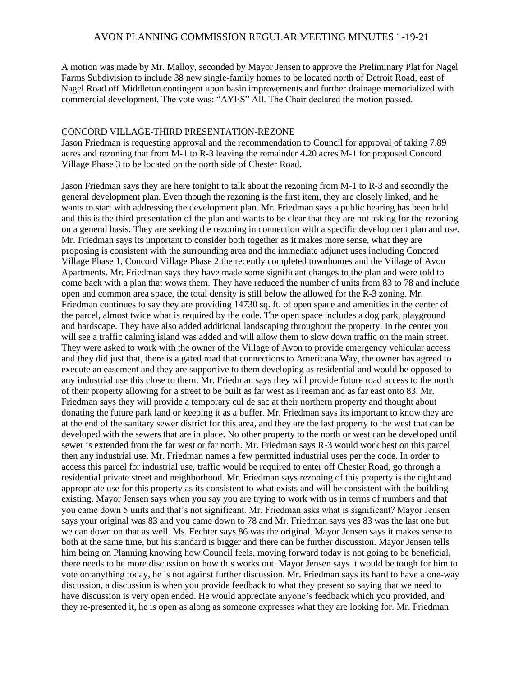A motion was made by Mr. Malloy, seconded by Mayor Jensen to approve the Preliminary Plat for Nagel Farms Subdivision to include 38 new single-family homes to be located north of Detroit Road, east of Nagel Road off Middleton contingent upon basin improvements and further drainage memorialized with commercial development. The vote was: "AYES" All. The Chair declared the motion passed.

### CONCORD VILLAGE-THIRD PRESENTATION-REZONE

Jason Friedman is requesting approval and the recommendation to Council for approval of taking 7.89 acres and rezoning that from M-1 to R-3 leaving the remainder 4.20 acres M-1 for proposed Concord Village Phase 3 to be located on the north side of Chester Road.

Jason Friedman says they are here tonight to talk about the rezoning from M-1 to R-3 and secondly the general development plan. Even though the rezoning is the first item, they are closely linked, and he wants to start with addressing the development plan. Mr. Friedman says a public hearing has been held and this is the third presentation of the plan and wants to be clear that they are not asking for the rezoning on a general basis. They are seeking the rezoning in connection with a specific development plan and use. Mr. Friedman says its important to consider both together as it makes more sense, what they are proposing is consistent with the surrounding area and the immediate adjunct uses including Concord Village Phase 1, Concord Village Phase 2 the recently completed townhomes and the Village of Avon Apartments. Mr. Friedman says they have made some significant changes to the plan and were told to come back with a plan that wows them. They have reduced the number of units from 83 to 78 and include open and common area space, the total density is still below the allowed for the R-3 zoning. Mr. Friedman continues to say they are providing 14730 sq. ft. of open space and amenities in the center of the parcel, almost twice what is required by the code. The open space includes a dog park, playground and hardscape. They have also added additional landscaping throughout the property. In the center you will see a traffic calming island was added and will allow them to slow down traffic on the main street. They were asked to work with the owner of the Village of Avon to provide emergency vehicular access and they did just that, there is a gated road that connections to Americana Way, the owner has agreed to execute an easement and they are supportive to them developing as residential and would be opposed to any industrial use this close to them. Mr. Friedman says they will provide future road access to the north of their property allowing for a street to be built as far west as Freeman and as far east onto 83. Mr. Friedman says they will provide a temporary cul de sac at their northern property and thought about donating the future park land or keeping it as a buffer. Mr. Friedman says its important to know they are at the end of the sanitary sewer district for this area, and they are the last property to the west that can be developed with the sewers that are in place. No other property to the north or west can be developed until sewer is extended from the far west or far north. Mr. Friedman says R-3 would work best on this parcel then any industrial use. Mr. Friedman names a few permitted industrial uses per the code. In order to access this parcel for industrial use, traffic would be required to enter off Chester Road, go through a residential private street and neighborhood. Mr. Friedman says rezoning of this property is the right and appropriate use for this property as its consistent to what exists and will be consistent with the building existing. Mayor Jensen says when you say you are trying to work with us in terms of numbers and that you came down 5 units and that's not significant. Mr. Friedman asks what is significant? Mayor Jensen says your original was 83 and you came down to 78 and Mr. Friedman says yes 83 was the last one but we can down on that as well. Ms. Fechter says 86 was the original. Mayor Jensen says it makes sense to both at the same time, but his standard is bigger and there can be further discussion. Mayor Jensen tells him being on Planning knowing how Council feels, moving forward today is not going to be beneficial, there needs to be more discussion on how this works out. Mayor Jensen says it would be tough for him to vote on anything today, he is not against further discussion. Mr. Friedman says its hard to have a one-way discussion, a discussion is when you provide feedback to what they present so saying that we need to have discussion is very open ended. He would appreciate anyone's feedback which you provided, and they re-presented it, he is open as along as someone expresses what they are looking for. Mr. Friedman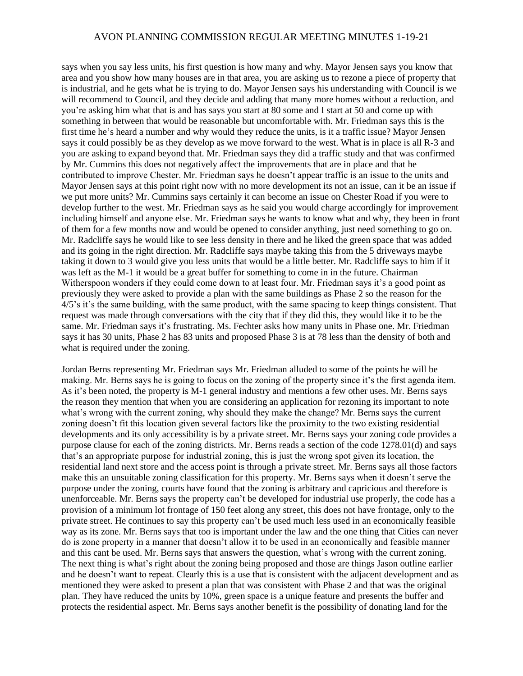says when you say less units, his first question is how many and why. Mayor Jensen says you know that area and you show how many houses are in that area, you are asking us to rezone a piece of property that is industrial, and he gets what he is trying to do. Mayor Jensen says his understanding with Council is we will recommend to Council, and they decide and adding that many more homes without a reduction, and you're asking him what that is and has says you start at 80 some and I start at 50 and come up with something in between that would be reasonable but uncomfortable with. Mr. Friedman says this is the first time he's heard a number and why would they reduce the units, is it a traffic issue? Mayor Jensen says it could possibly be as they develop as we move forward to the west. What is in place is all R-3 and you are asking to expand beyond that. Mr. Friedman says they did a traffic study and that was confirmed by Mr. Cummins this does not negatively affect the improvements that are in place and that he contributed to improve Chester. Mr. Friedman says he doesn't appear traffic is an issue to the units and Mayor Jensen says at this point right now with no more development its not an issue, can it be an issue if we put more units? Mr. Cummins says certainly it can become an issue on Chester Road if you were to develop further to the west. Mr. Friedman says as he said you would charge accordingly for improvement including himself and anyone else. Mr. Friedman says he wants to know what and why, they been in front of them for a few months now and would be opened to consider anything, just need something to go on. Mr. Radcliffe says he would like to see less density in there and he liked the green space that was added and its going in the right direction. Mr. Radcliffe says maybe taking this from the 5 driveways maybe taking it down to 3 would give you less units that would be a little better. Mr. Radcliffe says to him if it was left as the M-1 it would be a great buffer for something to come in in the future. Chairman Witherspoon wonders if they could come down to at least four. Mr. Friedman says it's a good point as previously they were asked to provide a plan with the same buildings as Phase 2 so the reason for the 4/5's it's the same building, with the same product, with the same spacing to keep things consistent. That request was made through conversations with the city that if they did this, they would like it to be the same. Mr. Friedman says it's frustrating. Ms. Fechter asks how many units in Phase one. Mr. Friedman says it has 30 units, Phase 2 has 83 units and proposed Phase 3 is at 78 less than the density of both and what is required under the zoning.

Jordan Berns representing Mr. Friedman says Mr. Friedman alluded to some of the points he will be making. Mr. Berns says he is going to focus on the zoning of the property since it's the first agenda item. As it's been noted, the property is M-1 general industry and mentions a few other uses. Mr. Berns says the reason they mention that when you are considering an application for rezoning its important to note what's wrong with the current zoning, why should they make the change? Mr. Berns says the current zoning doesn't fit this location given several factors like the proximity to the two existing residential developments and its only accessibility is by a private street. Mr. Berns says your zoning code provides a purpose clause for each of the zoning districts. Mr. Berns reads a section of the code 1278.01(d) and says that's an appropriate purpose for industrial zoning, this is just the wrong spot given its location, the residential land next store and the access point is through a private street. Mr. Berns says all those factors make this an unsuitable zoning classification for this property. Mr. Berns says when it doesn't serve the purpose under the zoning, courts have found that the zoning is arbitrary and capricious and therefore is unenforceable. Mr. Berns says the property can't be developed for industrial use properly, the code has a provision of a minimum lot frontage of 150 feet along any street, this does not have frontage, only to the private street. He continues to say this property can't be used much less used in an economically feasible way as its zone. Mr. Berns says that too is important under the law and the one thing that Cities can never do is zone property in a manner that doesn't allow it to be used in an economically and feasible manner and this cant be used. Mr. Berns says that answers the question, what's wrong with the current zoning. The next thing is what's right about the zoning being proposed and those are things Jason outline earlier and he doesn't want to repeat. Clearly this is a use that is consistent with the adjacent development and as mentioned they were asked to present a plan that was consistent with Phase 2 and that was the original plan. They have reduced the units by 10%, green space is a unique feature and presents the buffer and protects the residential aspect. Mr. Berns says another benefit is the possibility of donating land for the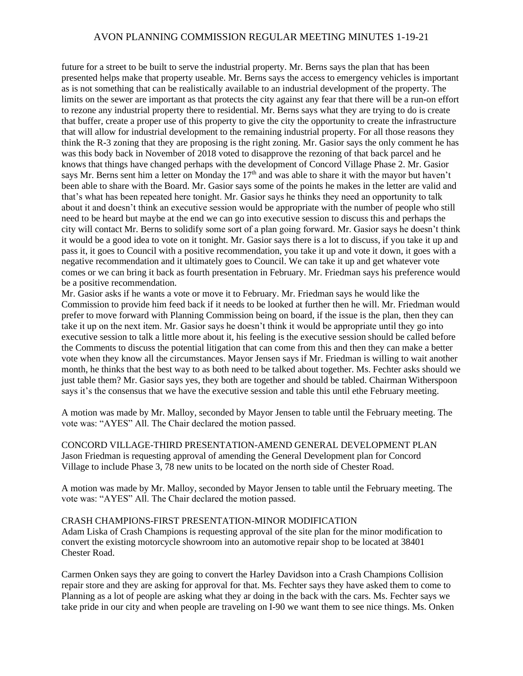future for a street to be built to serve the industrial property. Mr. Berns says the plan that has been presented helps make that property useable. Mr. Berns says the access to emergency vehicles is important as is not something that can be realistically available to an industrial development of the property. The limits on the sewer are important as that protects the city against any fear that there will be a run-on effort to rezone any industrial property there to residential. Mr. Berns says what they are trying to do is create that buffer, create a proper use of this property to give the city the opportunity to create the infrastructure that will allow for industrial development to the remaining industrial property. For all those reasons they think the R-3 zoning that they are proposing is the right zoning. Mr. Gasior says the only comment he has was this body back in November of 2018 voted to disapprove the rezoning of that back parcel and he knows that things have changed perhaps with the development of Concord Village Phase 2. Mr. Gasior says Mr. Berns sent him a letter on Monday the 17<sup>th</sup> and was able to share it with the mayor but haven't been able to share with the Board. Mr. Gasior says some of the points he makes in the letter are valid and that's what has been repeated here tonight. Mr. Gasior says he thinks they need an opportunity to talk about it and doesn't think an executive session would be appropriate with the number of people who still need to be heard but maybe at the end we can go into executive session to discuss this and perhaps the city will contact Mr. Berns to solidify some sort of a plan going forward. Mr. Gasior says he doesn't think it would be a good idea to vote on it tonight. Mr. Gasior says there is a lot to discuss, if you take it up and pass it, it goes to Council with a positive recommendation, you take it up and vote it down, it goes with a negative recommendation and it ultimately goes to Council. We can take it up and get whatever vote comes or we can bring it back as fourth presentation in February. Mr. Friedman says his preference would be a positive recommendation.

Mr. Gasior asks if he wants a vote or move it to February. Mr. Friedman says he would like the Commission to provide him feed back if it needs to be looked at further then he will. Mr. Friedman would prefer to move forward with Planning Commission being on board, if the issue is the plan, then they can take it up on the next item. Mr. Gasior says he doesn't think it would be appropriate until they go into executive session to talk a little more about it, his feeling is the executive session should be called before the Comments to discuss the potential litigation that can come from this and then they can make a better vote when they know all the circumstances. Mayor Jensen says if Mr. Friedman is willing to wait another month, he thinks that the best way to as both need to be talked about together. Ms. Fechter asks should we just table them? Mr. Gasior says yes, they both are together and should be tabled. Chairman Witherspoon says it's the consensus that we have the executive session and table this until ethe February meeting.

A motion was made by Mr. Malloy, seconded by Mayor Jensen to table until the February meeting. The vote was: "AYES" All. The Chair declared the motion passed.

CONCORD VILLAGE-THIRD PRESENTATION-AMEND GENERAL DEVELOPMENT PLAN Jason Friedman is requesting approval of amending the General Development plan for Concord Village to include Phase 3, 78 new units to be located on the north side of Chester Road.

A motion was made by Mr. Malloy, seconded by Mayor Jensen to table until the February meeting. The vote was: "AYES" All. The Chair declared the motion passed.

#### CRASH CHAMPIONS-FIRST PRESENTATION-MINOR MODIFICATION

Adam Liska of Crash Champions is requesting approval of the site plan for the minor modification to convert the existing motorcycle showroom into an automotive repair shop to be located at 38401 Chester Road.

Carmen Onken says they are going to convert the Harley Davidson into a Crash Champions Collision repair store and they are asking for approval for that. Ms. Fechter says they have asked them to come to Planning as a lot of people are asking what they ar doing in the back with the cars. Ms. Fechter says we take pride in our city and when people are traveling on I-90 we want them to see nice things. Ms. Onken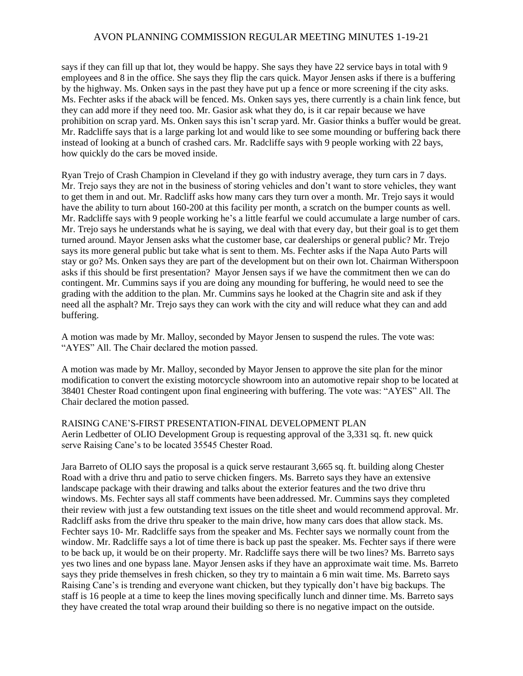says if they can fill up that lot, they would be happy. She says they have 22 service bays in total with 9 employees and 8 in the office. She says they flip the cars quick. Mayor Jensen asks if there is a buffering by the highway. Ms. Onken says in the past they have put up a fence or more screening if the city asks. Ms. Fechter asks if the aback will be fenced. Ms. Onken says yes, there currently is a chain link fence, but they can add more if they need too. Mr. Gasior ask what they do, is it car repair because we have prohibition on scrap yard. Ms. Onken says this isn't scrap yard. Mr. Gasior thinks a buffer would be great. Mr. Radcliffe says that is a large parking lot and would like to see some mounding or buffering back there instead of looking at a bunch of crashed cars. Mr. Radcliffe says with 9 people working with 22 bays, how quickly do the cars be moved inside.

Ryan Trejo of Crash Champion in Cleveland if they go with industry average, they turn cars in 7 days. Mr. Trejo says they are not in the business of storing vehicles and don't want to store vehicles, they want to get them in and out. Mr. Radcliff asks how many cars they turn over a month. Mr. Trejo says it would have the ability to turn about 160-200 at this facility per month, a scratch on the bumper counts as well. Mr. Radcliffe says with 9 people working he's a little fearful we could accumulate a large number of cars. Mr. Trejo says he understands what he is saying, we deal with that every day, but their goal is to get them turned around. Mayor Jensen asks what the customer base, car dealerships or general public? Mr. Trejo says its more general public but take what is sent to them. Ms. Fechter asks if the Napa Auto Parts will stay or go? Ms. Onken says they are part of the development but on their own lot. Chairman Witherspoon asks if this should be first presentation? Mayor Jensen says if we have the commitment then we can do contingent. Mr. Cummins says if you are doing any mounding for buffering, he would need to see the grading with the addition to the plan. Mr. Cummins says he looked at the Chagrin site and ask if they need all the asphalt? Mr. Trejo says they can work with the city and will reduce what they can and add buffering.

A motion was made by Mr. Malloy, seconded by Mayor Jensen to suspend the rules. The vote was: "AYES" All. The Chair declared the motion passed.

A motion was made by Mr. Malloy, seconded by Mayor Jensen to approve the site plan for the minor modification to convert the existing motorcycle showroom into an automotive repair shop to be located at 38401 Chester Road contingent upon final engineering with buffering. The vote was: "AYES" All. The Chair declared the motion passed.

RAISING CANE'S-FIRST PRESENTATION-FINAL DEVELOPMENT PLAN Aerin Ledbetter of OLIO Development Group is requesting approval of the 3,331 sq. ft. new quick serve Raising Cane's to be located 35545 Chester Road.

Jara Barreto of OLIO says the proposal is a quick serve restaurant 3,665 sq. ft. building along Chester Road with a drive thru and patio to serve chicken fingers. Ms. Barreto says they have an extensive landscape package with their drawing and talks about the exterior features and the two drive thru windows. Ms. Fechter says all staff comments have been addressed. Mr. Cummins says they completed their review with just a few outstanding text issues on the title sheet and would recommend approval. Mr. Radcliff asks from the drive thru speaker to the main drive, how many cars does that allow stack. Ms. Fechter says 10- Mr. Radcliffe says from the speaker and Ms. Fechter says we normally count from the window. Mr. Radcliffe says a lot of time there is back up past the speaker. Ms. Fechter says if there were to be back up, it would be on their property. Mr. Radcliffe says there will be two lines? Ms. Barreto says yes two lines and one bypass lane. Mayor Jensen asks if they have an approximate wait time. Ms. Barreto says they pride themselves in fresh chicken, so they try to maintain a 6 min wait time. Ms. Barreto says Raising Cane's is trending and everyone want chicken, but they typically don't have big backups. The staff is 16 people at a time to keep the lines moving specifically lunch and dinner time. Ms. Barreto says they have created the total wrap around their building so there is no negative impact on the outside.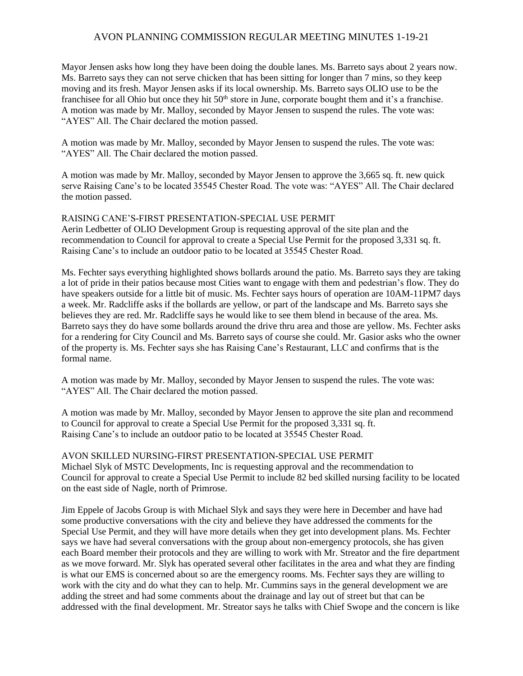Mayor Jensen asks how long they have been doing the double lanes. Ms. Barreto says about 2 years now. Ms. Barreto says they can not serve chicken that has been sitting for longer than 7 mins, so they keep moving and its fresh. Mayor Jensen asks if its local ownership. Ms. Barreto says OLIO use to be the franchisee for all Ohio but once they hit  $50<sup>th</sup>$  store in June, corporate bought them and it's a franchise. A motion was made by Mr. Malloy, seconded by Mayor Jensen to suspend the rules. The vote was: "AYES" All. The Chair declared the motion passed.

A motion was made by Mr. Malloy, seconded by Mayor Jensen to suspend the rules. The vote was: "AYES" All. The Chair declared the motion passed.

A motion was made by Mr. Malloy, seconded by Mayor Jensen to approve the 3,665 sq. ft. new quick serve Raising Cane's to be located 35545 Chester Road. The vote was: "AYES" All. The Chair declared the motion passed.

## RAISING CANE'S-FIRST PRESENTATION-SPECIAL USE PERMIT

Aerin Ledbetter of OLIO Development Group is requesting approval of the site plan and the recommendation to Council for approval to create a Special Use Permit for the proposed 3,331 sq. ft. Raising Cane's to include an outdoor patio to be located at 35545 Chester Road.

Ms. Fechter says everything highlighted shows bollards around the patio. Ms. Barreto says they are taking a lot of pride in their patios because most Cities want to engage with them and pedestrian's flow. They do have speakers outside for a little bit of music. Ms. Fechter says hours of operation are 10AM-11PM7 days a week. Mr. Radcliffe asks if the bollards are yellow, or part of the landscape and Ms. Barreto says she believes they are red. Mr. Radcliffe says he would like to see them blend in because of the area. Ms. Barreto says they do have some bollards around the drive thru area and those are yellow. Ms. Fechter asks for a rendering for City Council and Ms. Barreto says of course she could. Mr. Gasior asks who the owner of the property is. Ms. Fechter says she has Raising Cane's Restaurant, LLC and confirms that is the formal name.

A motion was made by Mr. Malloy, seconded by Mayor Jensen to suspend the rules. The vote was: "AYES" All. The Chair declared the motion passed.

A motion was made by Mr. Malloy, seconded by Mayor Jensen to approve the site plan and recommend to Council for approval to create a Special Use Permit for the proposed 3,331 sq. ft. Raising Cane's to include an outdoor patio to be located at 35545 Chester Road.

AVON SKILLED NURSING-FIRST PRESENTATION-SPECIAL USE PERMIT Michael Slyk of MSTC Developments, Inc is requesting approval and the recommendation to Council for approval to create a Special Use Permit to include 82 bed skilled nursing facility to be located on the east side of Nagle, north of Primrose.

Jim Eppele of Jacobs Group is with Michael Slyk and says they were here in December and have had some productive conversations with the city and believe they have addressed the comments for the Special Use Permit, and they will have more details when they get into development plans. Ms. Fechter says we have had several conversations with the group about non-emergency protocols, she has given each Board member their protocols and they are willing to work with Mr. Streator and the fire department as we move forward. Mr. Slyk has operated several other facilitates in the area and what they are finding is what our EMS is concerned about so are the emergency rooms. Ms. Fechter says they are willing to work with the city and do what they can to help. Mr. Cummins says in the general development we are adding the street and had some comments about the drainage and lay out of street but that can be addressed with the final development. Mr. Streator says he talks with Chief Swope and the concern is like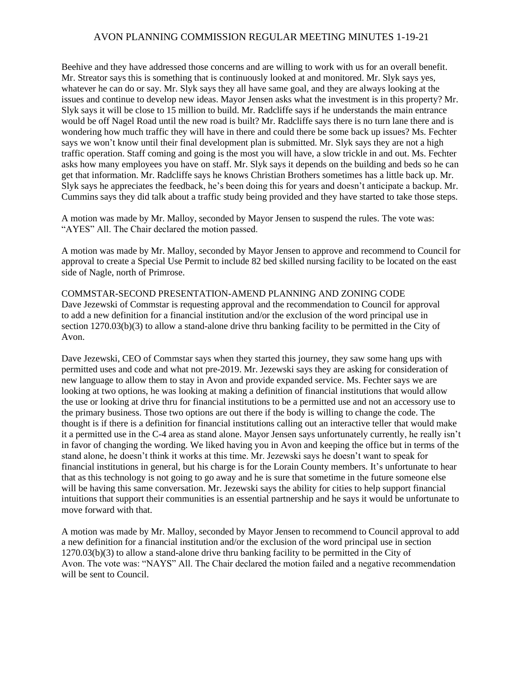Beehive and they have addressed those concerns and are willing to work with us for an overall benefit. Mr. Streator says this is something that is continuously looked at and monitored. Mr. Slyk says yes, whatever he can do or say. Mr. Slyk says they all have same goal, and they are always looking at the issues and continue to develop new ideas. Mayor Jensen asks what the investment is in this property? Mr. Slyk says it will be close to 15 million to build. Mr. Radcliffe says if he understands the main entrance would be off Nagel Road until the new road is built? Mr. Radcliffe says there is no turn lane there and is wondering how much traffic they will have in there and could there be some back up issues? Ms. Fechter says we won't know until their final development plan is submitted. Mr. Slyk says they are not a high traffic operation. Staff coming and going is the most you will have, a slow trickle in and out. Ms. Fechter asks how many employees you have on staff. Mr. Slyk says it depends on the building and beds so he can get that information. Mr. Radcliffe says he knows Christian Brothers sometimes has a little back up. Mr. Slyk says he appreciates the feedback, he's been doing this for years and doesn't anticipate a backup. Mr. Cummins says they did talk about a traffic study being provided and they have started to take those steps.

A motion was made by Mr. Malloy, seconded by Mayor Jensen to suspend the rules. The vote was: "AYES" All. The Chair declared the motion passed.

A motion was made by Mr. Malloy, seconded by Mayor Jensen to approve and recommend to Council for approval to create a Special Use Permit to include 82 bed skilled nursing facility to be located on the east side of Nagle, north of Primrose.

COMMSTAR-SECOND PRESENTATION-AMEND PLANNING AND ZONING CODE Dave Jezewski of Commstar is requesting approval and the recommendation to Council for approval to add a new definition for a financial institution and/or the exclusion of the word principal use in section 1270.03(b)(3) to allow a stand-alone drive thru banking facility to be permitted in the City of Avon.

Dave Jezewski, CEO of Commstar says when they started this journey, they saw some hang ups with permitted uses and code and what not pre-2019. Mr. Jezewski says they are asking for consideration of new language to allow them to stay in Avon and provide expanded service. Ms. Fechter says we are looking at two options, he was looking at making a definition of financial institutions that would allow the use or looking at drive thru for financial institutions to be a permitted use and not an accessory use to the primary business. Those two options are out there if the body is willing to change the code. The thought is if there is a definition for financial institutions calling out an interactive teller that would make it a permitted use in the C-4 area as stand alone. Mayor Jensen says unfortunately currently, he really isn't in favor of changing the wording. We liked having you in Avon and keeping the office but in terms of the stand alone, he doesn't think it works at this time. Mr. Jezewski says he doesn't want to speak for financial institutions in general, but his charge is for the Lorain County members. It's unfortunate to hear that as this technology is not going to go away and he is sure that sometime in the future someone else will be having this same conversation. Mr. Jezewski says the ability for cities to help support financial intuitions that support their communities is an essential partnership and he says it would be unfortunate to move forward with that.

A motion was made by Mr. Malloy, seconded by Mayor Jensen to recommend to Council approval to add a new definition for a financial institution and/or the exclusion of the word principal use in section 1270.03(b)(3) to allow a stand-alone drive thru banking facility to be permitted in the City of Avon. The vote was: "NAYS" All. The Chair declared the motion failed and a negative recommendation will be sent to Council.